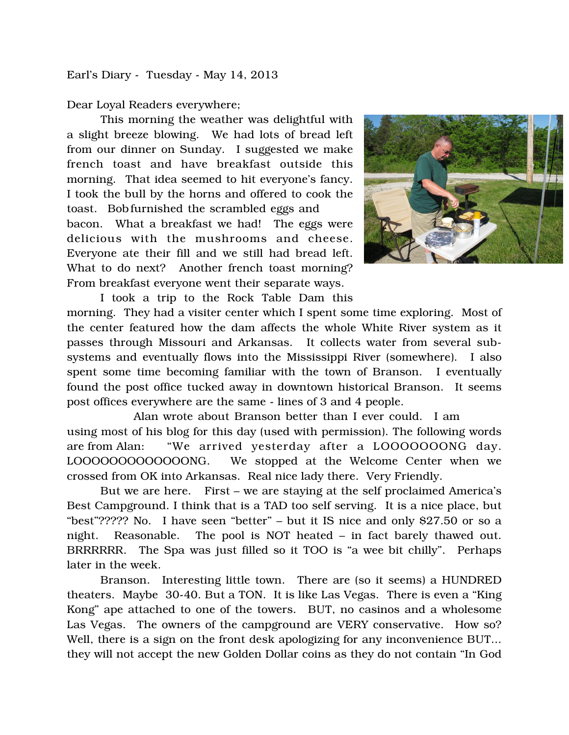Earl's Diary - Tuesday - May 14, 2013

Dear Loyal Readers everywhere;

This morning the weather was delightful with a slight breeze blowing. We had lots of bread left from our dinner on Sunday. I suggested we make french toast and have breakfast outside this morning. That idea seemed to hit everyone's fancy. I took the bull by the horns and offered to cook the toast. Bobfurnished the scrambled eggs and bacon. What a breakfast we had! The eggs were delicious with the mushrooms and cheese. Everyone ate their fill and we still had bread left. What to do next? Another french toast morning? From breakfast everyone went their separate ways.



I took a trip to the Rock Table Dam this morning. They had a visiter center which I spent some time exploring. Most of the center featured how the dam affects the whole White River system as it passes through Missouri and Arkansas. It collects water from several subsystems and eventually flows into the Mississippi River (somewhere). I also spent some time becoming familiar with the town of Branson. I eventually found the post office tucked away in downtown historical Branson. It seems post offices everywhere are the same - lines of 3 and 4 people.

 Alan wrote about Branson better than I ever could. I am using most of his blog for this day (used with permission). The following words are from Alan: "We arrived yesterday after a LOOOOOOONG day. LOOOOOOOOOOOOONG. We stopped at the Welcome Center when we crossed from OK into Arkansas. Real nice lady there. Very Friendly.

But we are here. First – we are staying at the self proclaimed America's Best Campground. I think that is a TAD too self serving. It is a nice place, but "best"????? No. I have seen "better" – but it IS nice and only \$27.50 or so a night. Reasonable. The pool is NOT heated – in fact barely thawed out. BRRRRRR. The Spa was just filled so it TOO is "a wee bit chilly". Perhaps later in the week.

 Branson. Interesting little town. There are (so it seems) a HUNDRED theaters. Maybe 30-40. But a TON. It is like Las Vegas. There is even a "King Kong" ape attached to one of the towers. BUT, no casinos and a wholesome Las Vegas. The owners of the campground are VERY conservative. How so? Well, there is a sign on the front desk apologizing for any inconvenience BUT... they will not accept the new Golden Dollar coins as they do not contain "In God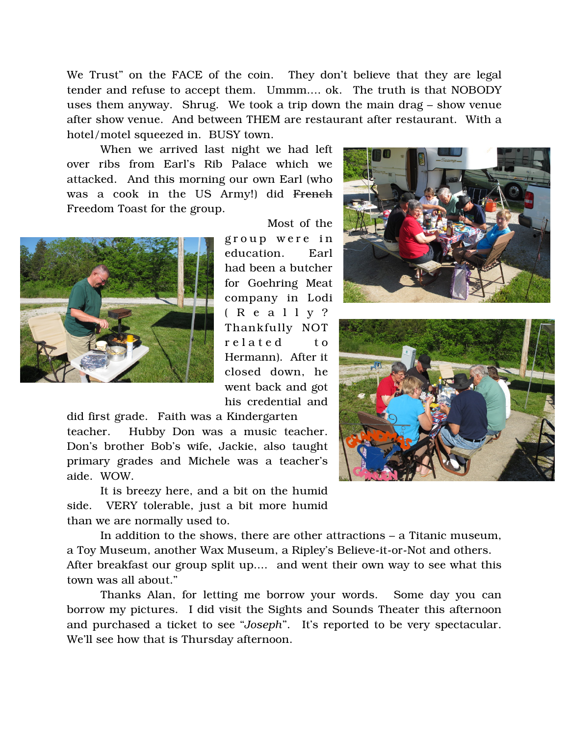We Trust" on the FACE of the coin. They don't believe that they are legal tender and refuse to accept them. Ummm.... ok. The truth is that NOBODY uses them anyway. Shrug. We took a trip down the main drag – show venue after show venue. And between THEM are restaurant after restaurant. With a hotel/motel squeezed in. BUSY town.

 When we arrived last night we had left over ribs from Earl's Rib Palace which we attacked. And this morning our own Earl (who was a cook in the US Army!) did French Freedom Toast for the group.



Most of the

group were in education. Earl had been a butcher for Goehring Meat company in Lodi ( R e a l l y ? Thankfully NOT r e lated to Hermann). After it closed down, he went back and got his credential and

did first grade. Faith was a Kindergarten teacher. Hubby Don was a music teacher. Don's brother Bob's wife, Jackie, also taught primary grades and Michele was a teacher's aide. WOW.

 It is breezy here, and a bit on the humid side. VERY tolerable, just a bit more humid than we are normally used to.

 In addition to the shows, there are other attractions – a Titanic museum, a Toy Museum, another Wax Museum, a Ripley's Believe-it-or-Not and others. After breakfast our group split up.... and went their own way to see what this town was all about."

Thanks Alan, for letting me borrow your words. Some day you can borrow my pictures. I did visit the Sights and Sounds Theater this afternoon and purchased a ticket to see "*Joseph*". It's reported to be very spectacular. We'll see how that is Thursday afternoon.